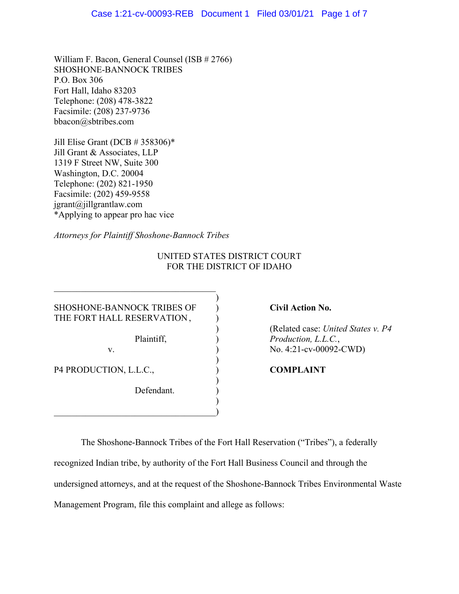William F. Bacon, General Counsel (ISB # 2766) SHOSHONE-BANNOCK TRIBES P.O. Box 306 Fort Hall, Idaho 83203 Telephone: (208) 478-3822 Facsimile: (208) 237-9736 bbacon@sbtribes.com

Jill Elise Grant (DCB  $# 358306$ )\* Jill Grant & Associates, LLP 1319 F Street NW, Suite 300 Washington, D.C. 20004 Telephone: (202) 821-1950 Facsimile: (202) 459-9558 jgrant@jillgrantlaw.com \*Applying to appear pro hac vice

*Attorneys for Plaintiff Shoshone-Bannock Tribes*

# UNITED STATES DISTRICT COURT FOR THE DISTRICT OF IDAHO

)

)

)

)

SHOSHONE-BANNOCK TRIBES OF ) **Civil Action No.** THE FORT HALL RESERVATION,

P4 PRODUCTION, L.L.C.,  $COMPLAINT$ 

Defendant.

 $\hspace{.5em}$   $\hspace{.5em}$   $\hspace{.5em}$   $\hspace{.5em}$   $\hspace{.5em}$   $\hspace{.5em}$   $\hspace{.5em}$   $\hspace{.5em}$   $\hspace{.5em}$   $\hspace{.5em}$   $\hspace{.5em}$   $\hspace{.5em}$   $\hspace{.5em}$   $\hspace{.5em}$   $\hspace{.5em}$   $\hspace{.5em}$   $\hspace{.5em}$   $\hspace{.5em}$   $\hspace{.5em}$   $\hspace{.5em}$ 

) (Related case: *United States v. P4* Plaintiff,  $P_{rad}$  *Production, L.L.C.*, v. ) No. 4:21-cv-00092-CWD)

The Shoshone-Bannock Tribes of the Fort Hall Reservation ("Tribes"), a federally recognized Indian tribe, by authority of the Fort Hall Business Council and through the undersigned attorneys, and at the request of the Shoshone-Bannock Tribes Environmental Waste Management Program, file this complaint and allege as follows: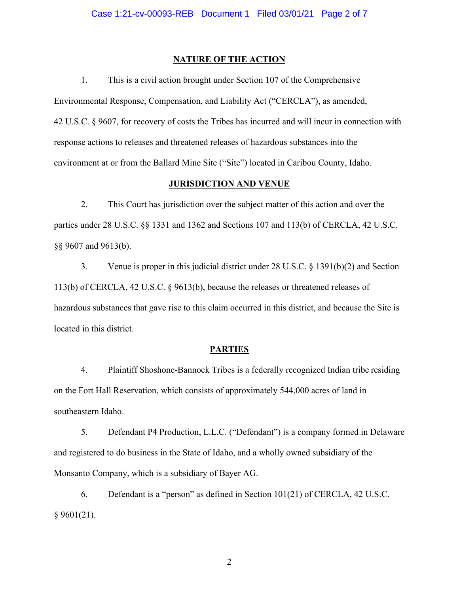#### **NATURE OF THE ACTION**

1. This is a civil action brought under Section 107 of the Comprehensive Environmental Response, Compensation, and Liability Act ("CERCLA"), as amended, 42 U.S.C. § 9607, for recovery of costs the Tribes has incurred and will incur in connection with response actions to releases and threatened releases of hazardous substances into the environment at or from the Ballard Mine Site ("Site") located in Caribou County, Idaho.

### **JURISDICTION AND VENUE**

2. This Court has jurisdiction over the subject matter of this action and over the parties under 28 U.S.C. §§ 1331 and 1362 and Sections 107 and 113(b) of CERCLA, 42 U.S.C. §§ 9607 and 9613(b).

3. Venue is proper in this judicial district under 28 U.S.C. § 1391(b)(2) and Section 113(b) of CERCLA, 42 U.S.C. § 9613(b), because the releases or threatened releases of hazardous substances that gave rise to this claim occurred in this district, and because the Site is located in this district.

#### **PARTIES**

4. Plaintiff Shoshone-Bannock Tribes is a federally recognized Indian tribe residing on the Fort Hall Reservation, which consists of approximately 544,000 acres of land in southeastern Idaho.

5. Defendant P4 Production, L.L.C. ("Defendant") is a company formed in Delaware and registered to do business in the State of Idaho, and a wholly owned subsidiary of the Monsanto Company, which is a subsidiary of Bayer AG.

6. Defendant is a "person" as defined in Section 101(21) of CERCLA, 42 U.S.C.  $§$  9601(21).

2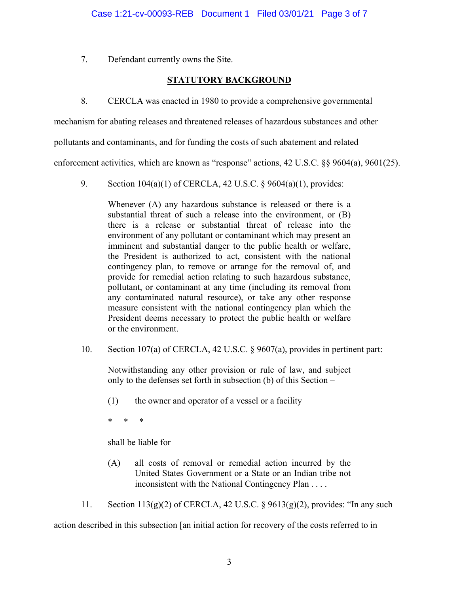7. Defendant currently owns the Site.

## **STATUTORY BACKGROUND**

8. CERCLA was enacted in 1980 to provide a comprehensive governmental

mechanism for abating releases and threatened releases of hazardous substances and other

pollutants and contaminants, and for funding the costs of such abatement and related

enforcement activities, which are known as "response" actions, 42 U.S.C. §§ 9604(a), 9601(25).

9. Section 104(a)(1) of CERCLA, 42 U.S.C. § 9604(a)(1), provides:

Whenever (A) any hazardous substance is released or there is a substantial threat of such a release into the environment, or (B) there is a release or substantial threat of release into the environment of any pollutant or contaminant which may present an imminent and substantial danger to the public health or welfare, the President is authorized to act, consistent with the national contingency plan, to remove or arrange for the removal of, and provide for remedial action relating to such hazardous substance, pollutant, or contaminant at any time (including its removal from any contaminated natural resource), or take any other response measure consistent with the national contingency plan which the President deems necessary to protect the public health or welfare or the environment.

10. Section 107(a) of CERCLA, 42 U.S.C. § 9607(a), provides in pertinent part:

Notwithstanding any other provision or rule of law, and subject only to the defenses set forth in subsection (b) of this Section –

(1) the owner and operator of a vessel or a facility

\* \* \*

shall be liable for –

(A) all costs of removal or remedial action incurred by the United States Government or a State or an Indian tribe not inconsistent with the National Contingency Plan . . . .

11. Section 113(g)(2) of CERCLA, 42 U.S.C. § 9613(g)(2), provides: "In any such action described in this subsection [an initial action for recovery of the costs referred to in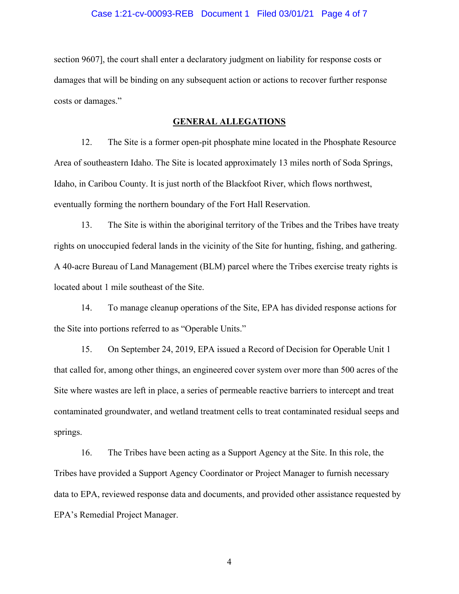#### Case 1:21-cv-00093-REB Document 1 Filed 03/01/21 Page 4 of 7

section 9607], the court shall enter a declaratory judgment on liability for response costs or damages that will be binding on any subsequent action or actions to recover further response costs or damages."

#### **GENERAL ALLEGATIONS**

12. The Site is a former open-pit phosphate mine located in the Phosphate Resource Area of southeastern Idaho. The Site is located approximately 13 miles north of Soda Springs, Idaho, in Caribou County. It is just north of the Blackfoot River, which flows northwest, eventually forming the northern boundary of the Fort Hall Reservation.

13. The Site is within the aboriginal territory of the Tribes and the Tribes have treaty rights on unoccupied federal lands in the vicinity of the Site for hunting, fishing, and gathering. A 40‐acre Bureau of Land Management (BLM) parcel where the Tribes exercise treaty rights is located about 1 mile southeast of the Site.

14. To manage cleanup operations of the Site, EPA has divided response actions for the Site into portions referred to as "Operable Units."

15. On September 24, 2019, EPA issued a Record of Decision for Operable Unit 1 that called for, among other things, an engineered cover system over more than 500 acres of the Site where wastes are left in place, a series of permeable reactive barriers to intercept and treat contaminated groundwater, and wetland treatment cells to treat contaminated residual seeps and springs.

16. The Tribes have been acting as a Support Agency at the Site. In this role, the Tribes have provided a Support Agency Coordinator or Project Manager to furnish necessary data to EPA, reviewed response data and documents, and provided other assistance requested by EPA's Remedial Project Manager.

4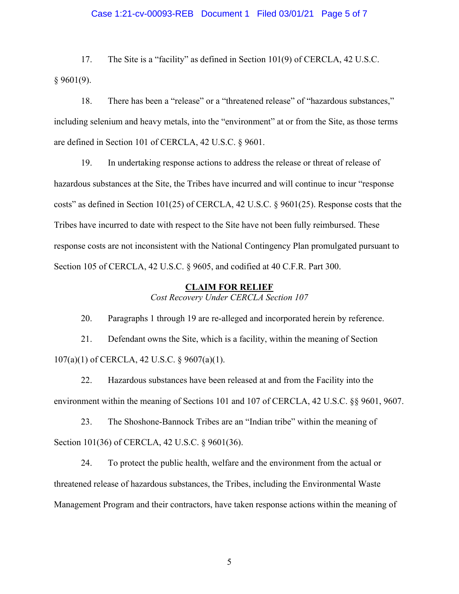#### Case 1:21-cv-00093-REB Document 1 Filed 03/01/21 Page 5 of 7

17. The Site is a "facility" as defined in Section 101(9) of CERCLA, 42 U.S.C. § 9601(9).

18. There has been a "release" or a "threatened release" of "hazardous substances," including selenium and heavy metals, into the "environment" at or from the Site, as those terms are defined in Section 101 of CERCLA, 42 U.S.C. § 9601.

19. In undertaking response actions to address the release or threat of release of hazardous substances at the Site, the Tribes have incurred and will continue to incur "response costs" as defined in Section 101(25) of CERCLA, 42 U.S.C. § 9601(25). Response costs that the Tribes have incurred to date with respect to the Site have not been fully reimbursed. These response costs are not inconsistent with the National Contingency Plan promulgated pursuant to Section 105 of CERCLA, 42 U.S.C. § 9605, and codified at 40 C.F.R. Part 300.

#### <span id="page-4-0"></span>**CLAIM FOR RELIEF**

*Cost Recovery Under CERCLA Section 107*

20. Paragraphs 1 through [19](#page-4-0) are re-alleged and incorporated herein by reference.

21. Defendant owns the Site, which is a facility, within the meaning of Section 107(a)(1) of CERCLA, 42 U.S.C. § 9607(a)(1).

22. Hazardous substances have been released at and from the Facility into the environment within the meaning of Sections 101 and 107 of CERCLA, 42 U.S.C. §§ 9601, 9607.

23. The Shoshone-Bannock Tribes are an "Indian tribe" within the meaning of Section 101(36) of CERCLA, 42 U.S.C. § 9601(36).

24. To protect the public health, welfare and the environment from the actual or threatened release of hazardous substances, the Tribes, including the Environmental Waste Management Program and their contractors, have taken response actions within the meaning of

5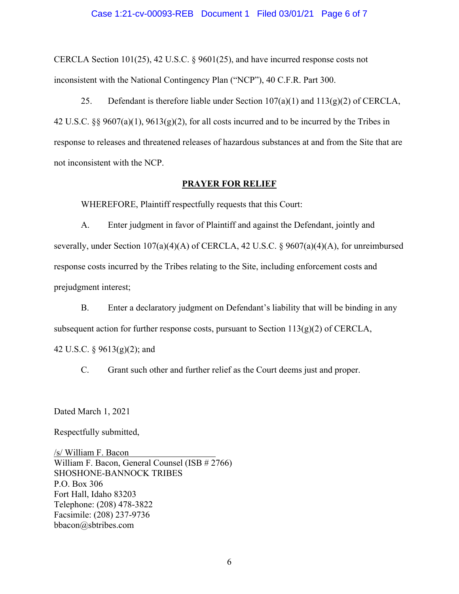#### Case 1:21-cv-00093-REB Document 1 Filed 03/01/21 Page 6 of 7

CERCLA Section 101(25), 42 U.S.C. § 9601(25), and have incurred response costs not inconsistent with the National Contingency Plan ("NCP"), 40 C.F.R. Part 300.

25. Defendant is therefore liable under Section  $107(a)(1)$  and  $113(g)(2)$  of CERCLA, 42 U.S.C. §§ 9607(a)(1), 9613(g)(2), for all costs incurred and to be incurred by the Tribes in response to releases and threatened releases of hazardous substances at and from the Site that are not inconsistent with the NCP.

#### **PRAYER FOR RELIEF**

WHEREFORE, Plaintiff respectfully requests that this Court:

A. Enter judgment in favor of Plaintiff and against the Defendant, jointly and severally, under Section 107(a)(4)(A) of CERCLA, 42 U.S.C. § 9607(a)(4)(A), for unreimbursed response costs incurred by the Tribes relating to the Site, including enforcement costs and prejudgment interest;

B. Enter a declaratory judgment on Defendant's liability that will be binding in any subsequent action for further response costs, pursuant to Section  $113(g)(2)$  of CERCLA,

42 U.S.C. § 9613(g)(2); and

C. Grant such other and further relief as the Court deems just and proper.

Dated March 1, 2021

Respectfully submitted,

/s/ William F. Bacon William F. Bacon, General Counsel (ISB # 2766) SHOSHONE-BANNOCK TRIBES P.O. Box 306 Fort Hall, Idaho 83203 Telephone: (208) 478-3822 Facsimile: (208) 237-9736 bbacon@sbtribes.com